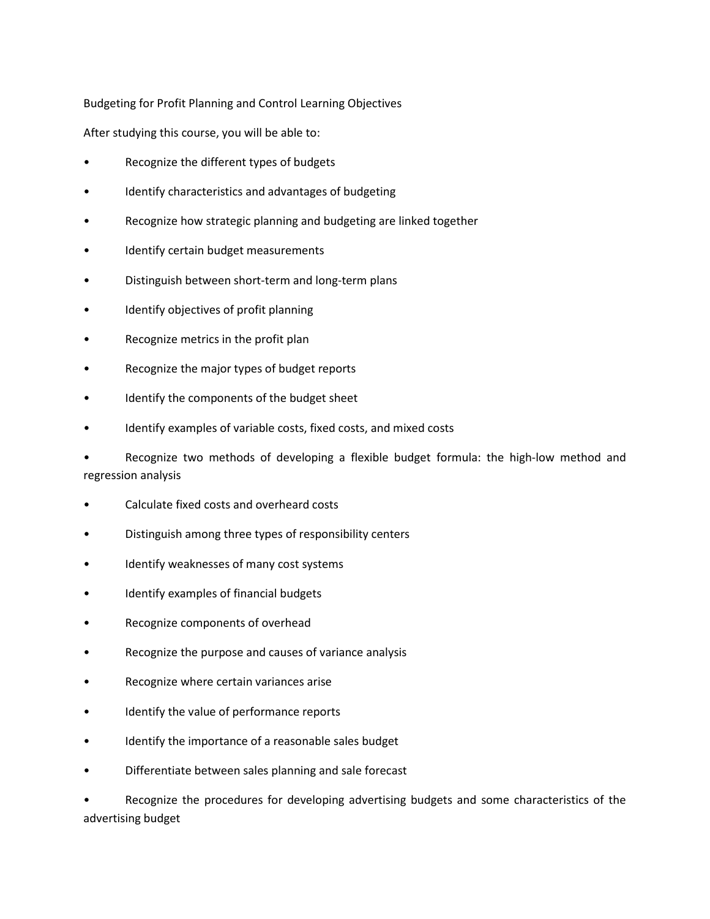Budgeting for Profit Planning and Control Learning Objectives

After studying this course, you will be able to:

- Recognize the different types of budgets
- Identify characteristics and advantages of budgeting
- Recognize how strategic planning and budgeting are linked together
- Identify certain budget measurements
- Distinguish between short-term and long-term plans
- Identify objectives of profit planning
- Recognize metrics in the profit plan
- Recognize the major types of budget reports
- Identify the components of the budget sheet
- Identify examples of variable costs, fixed costs, and mixed costs

• Recognize two methods of developing a flexible budget formula: the high-low method and regression analysis

- Calculate fixed costs and overheard costs
- Distinguish among three types of responsibility centers
- Identify weaknesses of many cost systems
- Identify examples of financial budgets
- Recognize components of overhead
- Recognize the purpose and causes of variance analysis
- Recognize where certain variances arise
- Identify the value of performance reports
- Identify the importance of a reasonable sales budget
- Differentiate between sales planning and sale forecast

• Recognize the procedures for developing advertising budgets and some characteristics of the advertising budget